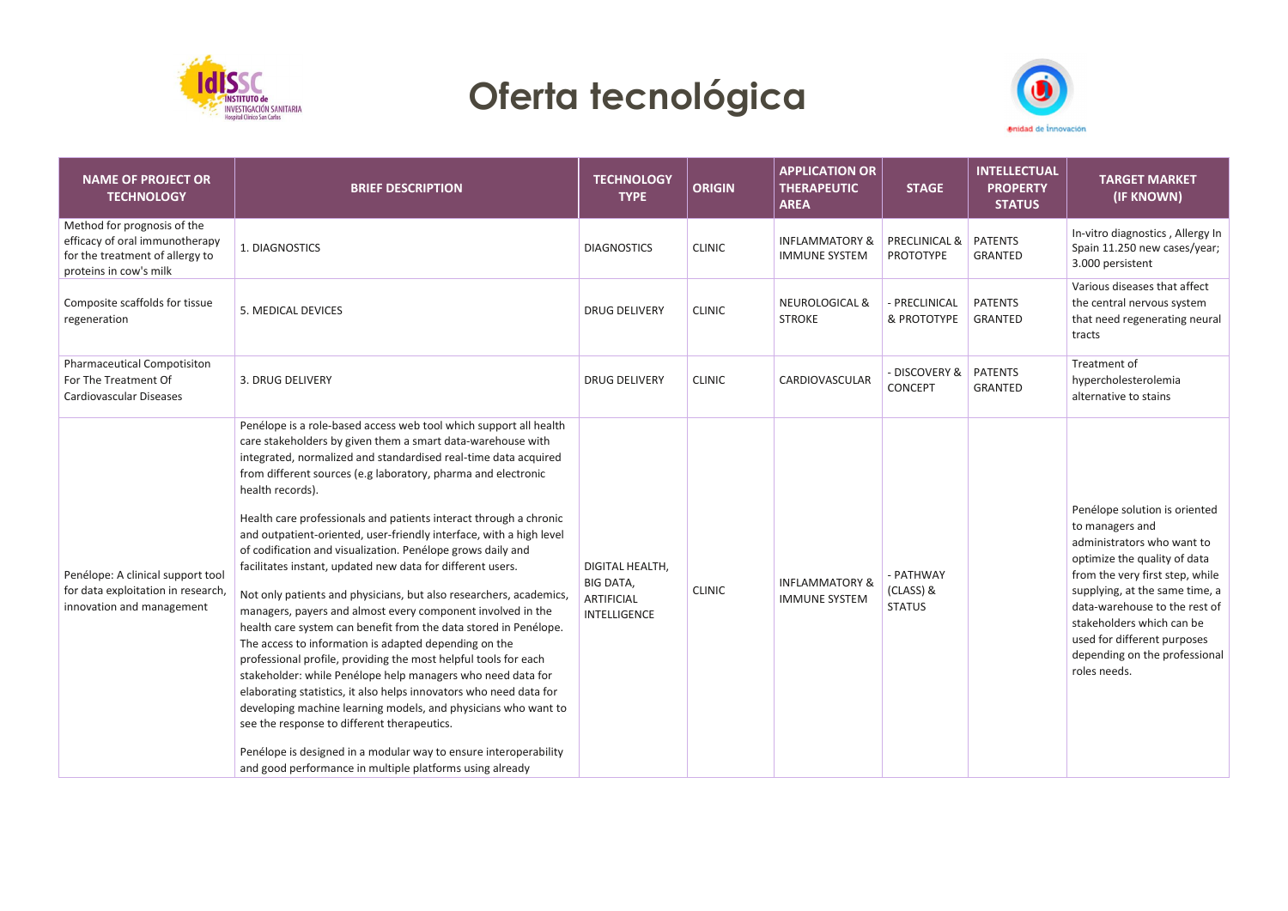

## **Oferta tecnológica**



| <b>NAME OF PROJECT OR</b><br><b>TECHNOLOGY</b>                                                                             | <b>BRIEF DESCRIPTION</b>                                                                                                                                                                                                                                                                                                                                                                                                                                                                                                                                                                                                                                                                                                                                                                                                                                                                                                                                                                                                                                                                                                                                                                                                                                                                     | <b>TECHNOLOGY</b><br><b>TYPE</b>                                                | <b>ORIGIN</b> | <b>APPLICATION OR</b><br><b>THERAPEUTIC</b><br><b>AREA</b> | <b>STAGE</b>                            | <b>INTELLECTUAL</b><br><b>PROPERTY</b><br><b>STATUS</b> | <b>TARGET MARKET</b><br>(IF KNOWN)                                                                                                                                                                                                                                                                                                |
|----------------------------------------------------------------------------------------------------------------------------|----------------------------------------------------------------------------------------------------------------------------------------------------------------------------------------------------------------------------------------------------------------------------------------------------------------------------------------------------------------------------------------------------------------------------------------------------------------------------------------------------------------------------------------------------------------------------------------------------------------------------------------------------------------------------------------------------------------------------------------------------------------------------------------------------------------------------------------------------------------------------------------------------------------------------------------------------------------------------------------------------------------------------------------------------------------------------------------------------------------------------------------------------------------------------------------------------------------------------------------------------------------------------------------------|---------------------------------------------------------------------------------|---------------|------------------------------------------------------------|-----------------------------------------|---------------------------------------------------------|-----------------------------------------------------------------------------------------------------------------------------------------------------------------------------------------------------------------------------------------------------------------------------------------------------------------------------------|
| Method for prognosis of the<br>efficacy of oral immunotherapy<br>for the treatment of allergy to<br>proteins in cow's milk | 1. DIAGNOSTICS                                                                                                                                                                                                                                                                                                                                                                                                                                                                                                                                                                                                                                                                                                                                                                                                                                                                                                                                                                                                                                                                                                                                                                                                                                                                               | <b>DIAGNOSTICS</b>                                                              | <b>CLINIC</b> | <b>INFLAMMATORY &amp;</b><br><b>IMMUNE SYSTEM</b>          | PRECLINICAL &<br>PROTOTYPE              | <b>PATENTS</b><br>GRANTED                               | In-vitro diagnostics, Allergy In<br>Spain 11.250 new cases/year;<br>3.000 persistent                                                                                                                                                                                                                                              |
| Composite scaffolds for tissue<br>regeneration                                                                             | 5. MEDICAL DEVICES                                                                                                                                                                                                                                                                                                                                                                                                                                                                                                                                                                                                                                                                                                                                                                                                                                                                                                                                                                                                                                                                                                                                                                                                                                                                           | <b>DRUG DELIVERY</b>                                                            | <b>CLINIC</b> | <b>NEUROLOGICAL &amp;</b><br><b>STROKE</b>                 | - PRECLINICAL<br>& PROTOTYPE            | <b>PATENTS</b><br>GRANTED                               | Various diseases that affect<br>the central nervous system<br>that need regenerating neural<br>tracts                                                                                                                                                                                                                             |
| Pharmaceutical Compotisiton<br>For The Treatment Of<br>Cardiovascular Diseases                                             | 3. DRUG DELIVERY                                                                                                                                                                                                                                                                                                                                                                                                                                                                                                                                                                                                                                                                                                                                                                                                                                                                                                                                                                                                                                                                                                                                                                                                                                                                             | <b>DRUG DELIVERY</b>                                                            | <b>CLINIC</b> | CARDIOVASCULAR                                             | - DISCOVERY &<br>CONCEPT                | <b>PATENTS</b><br><b>GRANTED</b>                        | Treatment of<br>hypercholesterolemia<br>alternative to stains                                                                                                                                                                                                                                                                     |
| Penélope: A clinical support tool<br>for data exploitation in research,<br>innovation and management                       | Penélope is a role-based access web tool which support all health<br>care stakeholders by given them a smart data-warehouse with<br>integrated, normalized and standardised real-time data acquired<br>from different sources (e.g laboratory, pharma and electronic<br>health records).<br>Health care professionals and patients interact through a chronic<br>and outpatient-oriented, user-friendly interface, with a high level<br>of codification and visualization. Penélope grows daily and<br>facilitates instant, updated new data for different users.<br>Not only patients and physicians, but also researchers, academics,<br>managers, payers and almost every component involved in the<br>health care system can benefit from the data stored in Penélope.<br>The access to information is adapted depending on the<br>professional profile, providing the most helpful tools for each<br>stakeholder: while Penélope help managers who need data for<br>elaborating statistics, it also helps innovators who need data for<br>developing machine learning models, and physicians who want to<br>see the response to different therapeutics.<br>Penélope is designed in a modular way to ensure interoperability<br>and good performance in multiple platforms using already | DIGITAL HEALTH,<br><b>BIG DATA,</b><br><b>ARTIFICIAL</b><br><b>INTELLIGENCE</b> | <b>CLINIC</b> | <b>INFLAMMATORY &amp;</b><br><b>IMMUNE SYSTEM</b>          | - PATHWAY<br>(CLASS) &<br><b>STATUS</b> |                                                         | Penélope solution is oriented<br>to managers and<br>administrators who want to<br>optimize the quality of data<br>from the very first step, while<br>supplying, at the same time, a<br>data-warehouse to the rest of<br>stakeholders which can be<br>used for different purposes<br>depending on the professional<br>roles needs. |